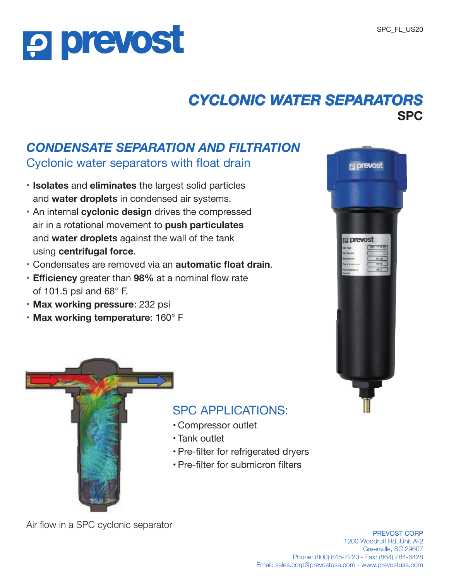## *CYCLONIC WATER SEPARATORS* **SPC**

### *CONDENSATE SEPARATION AND FILTRATION*

Cyclonic water separators with float drain

- **• Isolates** and **eliminates** the largest solid particles and **water droplets** in condensed air systems.
- **•** An internal **cyclonic design** drives the compressed air in a rotational movement to **push particulates** and **water droplets** against the wall of the tank using **centrifugal force**.
- **•** Condensates are removed via an **automatic float drain**.
- **• Efficiency** greater than **98%** at a nominal flow rate of 101.5 psi and 68° F.
- **• Max working pressure**: 232 psi

**P prevost** 

**• Max working temperature**: 160° F





### SPC APPLICATIONS:

- Compressor outlet
- Tank outlet
- Pre-filter for refrigerated dryers
- Pre-filter for submicron filters

Air flow in a SPC cyclonic separator